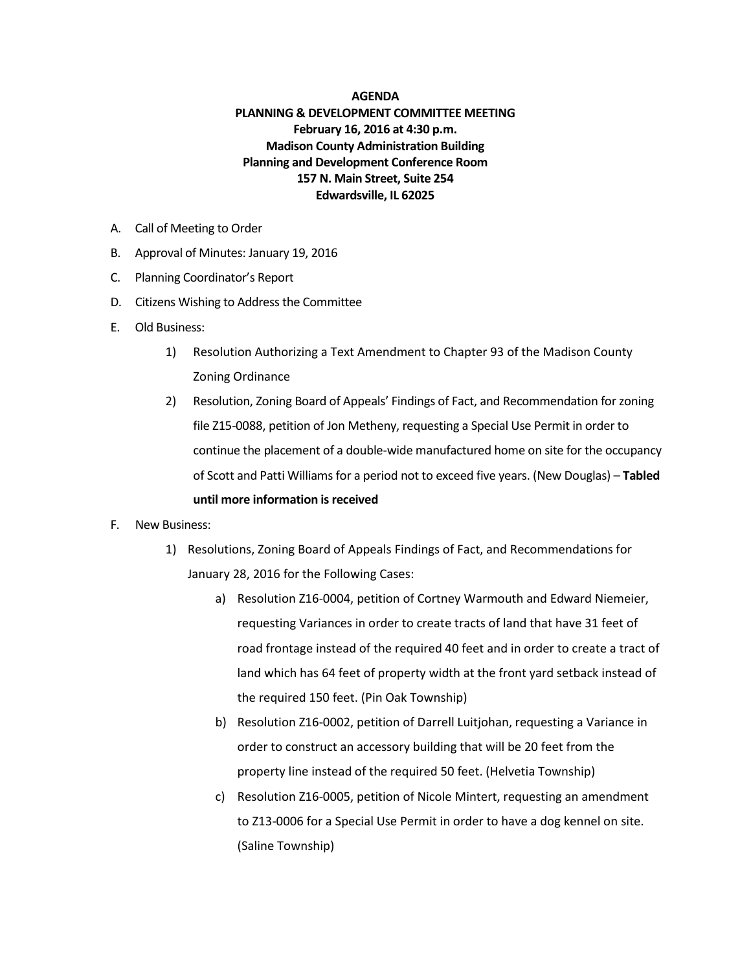## **AGENDA**

## **PLANNING & DEVELOPMENT COMMITTEE MEETING February 16, 2016 at 4:30 p.m. Madison County Administration Building Planning and Development Conference Room 157 N. Main Street, Suite 254 Edwardsville, IL 62025**

- A. Call of Meeting to Order
- B. Approval of Minutes: January 19, 2016
- C. Planning Coordinator's Report
- D. Citizens Wishing to Address the Committee
- E. Old Business:
	- 1) Resolution Authorizing a Text Amendment to Chapter 93 of the Madison County Zoning Ordinance
	- 2) Resolution, Zoning Board of Appeals' Findings of Fact, and Recommendation for zoning file Z15-0088, petition of Jon Metheny, requesting a Special Use Permit in order to continue the placement of a double-wide manufactured home on site for the occupancy of Scott and Patti Williams for a period not to exceed five years. (New Douglas) – **Tabled until more information is received**
- F. New Business:
	- 1) Resolutions, Zoning Board of Appeals Findings of Fact, and Recommendations for January 28, 2016 for the Following Cases:
		- a) Resolution Z16-0004, petition of Cortney Warmouth and Edward Niemeier, requesting Variances in order to create tracts of land that have 31 feet of road frontage instead of the required 40 feet and in order to create a tract of land which has 64 feet of property width at the front yard setback instead of the required 150 feet. (Pin Oak Township)
		- b) Resolution Z16-0002, petition of Darrell Luitjohan, requesting a Variance in order to construct an accessory building that will be 20 feet from the property line instead of the required 50 feet. (Helvetia Township)
		- c) Resolution Z16-0005, petition of Nicole Mintert, requesting an amendment to Z13-0006 for a Special Use Permit in order to have a dog kennel on site. (Saline Township)